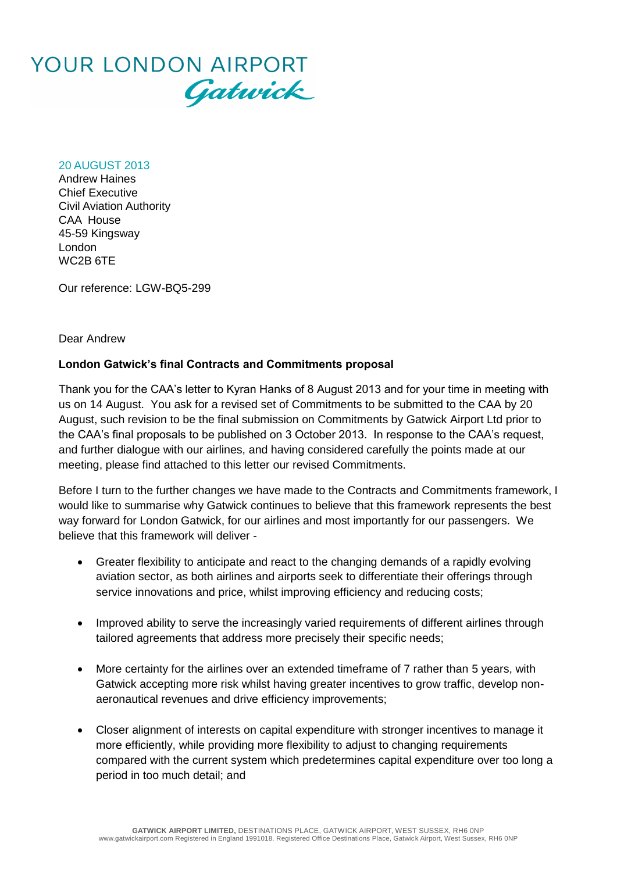

#### 20 AUGUST 2013

Andrew Haines Chief Executive Civil Aviation Authority CAA House 45-59 Kingsway London WC2B 6TE

Our reference: LGW-BQ5-299

### Dear Andrew

### **London Gatwick's final Contracts and Commitments proposal**

Thank you for the CAA's letter to Kyran Hanks of 8 August 2013 and for your time in meeting with us on 14 August. You ask for a revised set of Commitments to be submitted to the CAA by 20 August, such revision to be the final submission on Commitments by Gatwick Airport Ltd prior to the CAA's final proposals to be published on 3 October 2013. In response to the CAA's request, and further dialogue with our airlines, and having considered carefully the points made at our meeting, please find attached to this letter our revised Commitments.

Before I turn to the further changes we have made to the Contracts and Commitments framework, I would like to summarise why Gatwick continues to believe that this framework represents the best way forward for London Gatwick, for our airlines and most importantly for our passengers. We believe that this framework will deliver -

- Greater flexibility to anticipate and react to the changing demands of a rapidly evolving aviation sector, as both airlines and airports seek to differentiate their offerings through service innovations and price, whilst improving efficiency and reducing costs;
- Improved ability to serve the increasingly varied requirements of different airlines through tailored agreements that address more precisely their specific needs;
- More certainty for the airlines over an extended timeframe of 7 rather than 5 years, with Gatwick accepting more risk whilst having greater incentives to grow traffic, develop nonaeronautical revenues and drive efficiency improvements;
- Closer alignment of interests on capital expenditure with stronger incentives to manage it more efficiently, while providing more flexibility to adjust to changing requirements compared with the current system which predetermines capital expenditure over too long a period in too much detail; and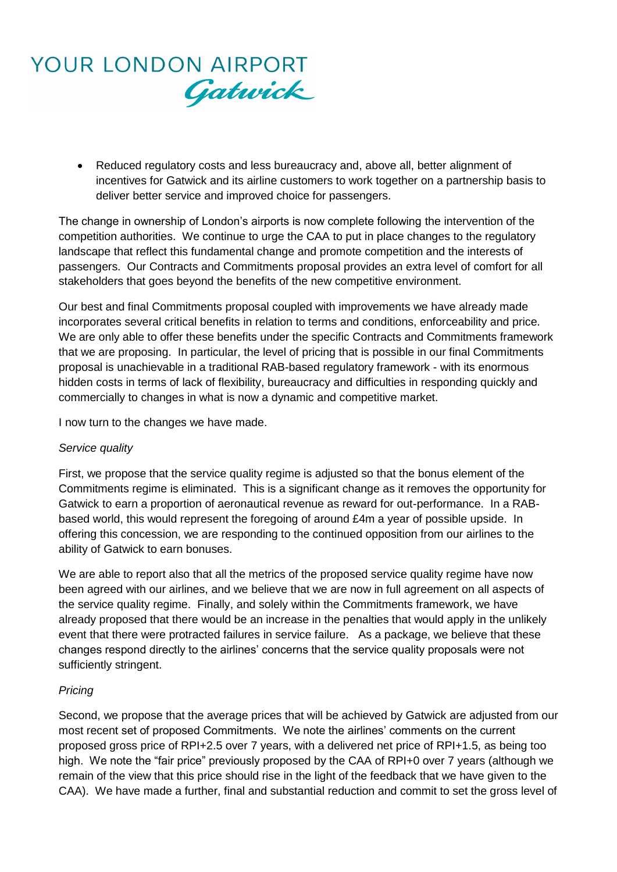

 Reduced regulatory costs and less bureaucracy and, above all, better alignment of incentives for Gatwick and its airline customers to work together on a partnership basis to deliver better service and improved choice for passengers.

The change in ownership of London's airports is now complete following the intervention of the competition authorities. We continue to urge the CAA to put in place changes to the regulatory landscape that reflect this fundamental change and promote competition and the interests of passengers. Our Contracts and Commitments proposal provides an extra level of comfort for all stakeholders that goes beyond the benefits of the new competitive environment.

Our best and final Commitments proposal coupled with improvements we have already made incorporates several critical benefits in relation to terms and conditions, enforceability and price. We are only able to offer these benefits under the specific Contracts and Commitments framework that we are proposing. In particular, the level of pricing that is possible in our final Commitments proposal is unachievable in a traditional RAB-based regulatory framework - with its enormous hidden costs in terms of lack of flexibility, bureaucracy and difficulties in responding quickly and commercially to changes in what is now a dynamic and competitive market.

I now turn to the changes we have made.

### *Service quality*

First, we propose that the service quality regime is adjusted so that the bonus element of the Commitments regime is eliminated. This is a significant change as it removes the opportunity for Gatwick to earn a proportion of aeronautical revenue as reward for out-performance. In a RABbased world, this would represent the foregoing of around £4m a year of possible upside. In offering this concession, we are responding to the continued opposition from our airlines to the ability of Gatwick to earn bonuses.

We are able to report also that all the metrics of the proposed service quality regime have now been agreed with our airlines, and we believe that we are now in full agreement on all aspects of the service quality regime. Finally, and solely within the Commitments framework, we have already proposed that there would be an increase in the penalties that would apply in the unlikely event that there were protracted failures in service failure. As a package, we believe that these changes respond directly to the airlines' concerns that the service quality proposals were not sufficiently stringent.

### *Pricing*

Second, we propose that the average prices that will be achieved by Gatwick are adjusted from our most recent set of proposed Commitments. We note the airlines' comments on the current proposed gross price of RPI+2.5 over 7 years, with a delivered net price of RPI+1.5, as being too high. We note the "fair price" previously proposed by the CAA of RPI+0 over 7 years (although we remain of the view that this price should rise in the light of the feedback that we have given to the CAA). We have made a further, final and substantial reduction and commit to set the gross level of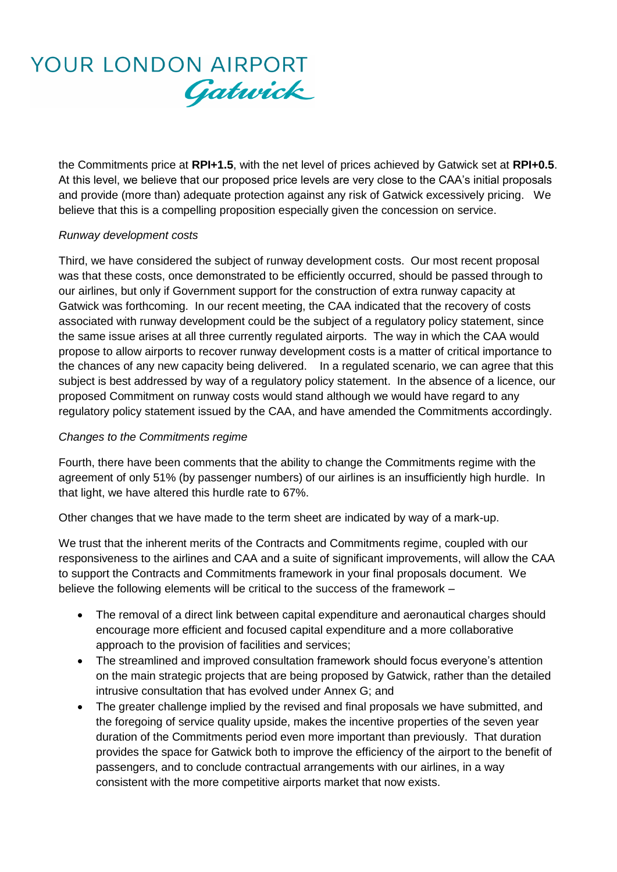# YOUR LONDON AIRPORT Gatwick

the Commitments price at **RPI+1.5**, with the net level of prices achieved by Gatwick set at **RPI+0.5**. At this level, we believe that our proposed price levels are very close to the CAA's initial proposals and provide (more than) adequate protection against any risk of Gatwick excessively pricing. We believe that this is a compelling proposition especially given the concession on service.

## *Runway development costs*

Third, we have considered the subject of runway development costs. Our most recent proposal was that these costs, once demonstrated to be efficiently occurred, should be passed through to our airlines, but only if Government support for the construction of extra runway capacity at Gatwick was forthcoming. In our recent meeting, the CAA indicated that the recovery of costs associated with runway development could be the subject of a regulatory policy statement, since the same issue arises at all three currently regulated airports. The way in which the CAA would propose to allow airports to recover runway development costs is a matter of critical importance to the chances of any new capacity being delivered. In a regulated scenario, we can agree that this subject is best addressed by way of a regulatory policy statement. In the absence of a licence, our proposed Commitment on runway costs would stand although we would have regard to any regulatory policy statement issued by the CAA, and have amended the Commitments accordingly.

## *Changes to the Commitments regime*

Fourth, there have been comments that the ability to change the Commitments regime with the agreement of only 51% (by passenger numbers) of our airlines is an insufficiently high hurdle. In that light, we have altered this hurdle rate to 67%.

Other changes that we have made to the term sheet are indicated by way of a mark-up.

We trust that the inherent merits of the Contracts and Commitments regime, coupled with our responsiveness to the airlines and CAA and a suite of significant improvements, will allow the CAA to support the Contracts and Commitments framework in your final proposals document. We believe the following elements will be critical to the success of the framework –

- The removal of a direct link between capital expenditure and aeronautical charges should encourage more efficient and focused capital expenditure and a more collaborative approach to the provision of facilities and services;
- The streamlined and improved consultation framework should focus everyone's attention on the main strategic projects that are being proposed by Gatwick, rather than the detailed intrusive consultation that has evolved under Annex G; and
- The greater challenge implied by the revised and final proposals we have submitted, and the foregoing of service quality upside, makes the incentive properties of the seven year duration of the Commitments period even more important than previously. That duration provides the space for Gatwick both to improve the efficiency of the airport to the benefit of passengers, and to conclude contractual arrangements with our airlines, in a way consistent with the more competitive airports market that now exists.